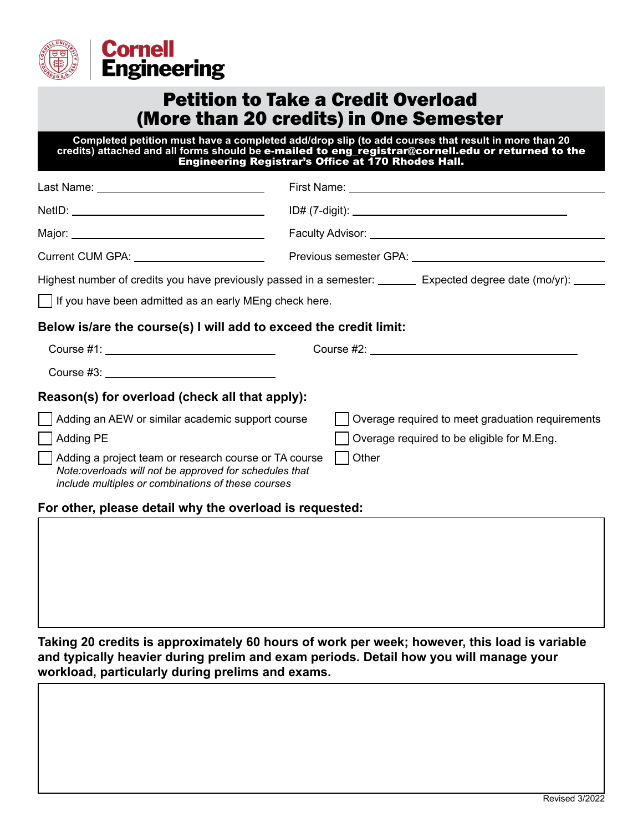

## Petition to Take a Credit Overload (More than 20 credits) in One Semester

**Completed petition must have a completed add/drop slip (to add courses that result in more than 20 credits) attached and all forms should be** e-mailed to eng\_registrar@cornell.edu or returned to the Engineering Registrar's Office at 170 Rhodes Hall.

| Current CUM GPA: Value of Allen Current CUM GPA:                                                                                                                      |                                                                                                                  |
|-----------------------------------------------------------------------------------------------------------------------------------------------------------------------|------------------------------------------------------------------------------------------------------------------|
|                                                                                                                                                                       | Highest number of credits you have previously passed in a semester: ________ Expected degree date (mo/yr): _____ |
| If you have been admitted as an early MEng check here.                                                                                                                |                                                                                                                  |
| Below is/are the course(s) I will add to exceed the credit limit:                                                                                                     |                                                                                                                  |
|                                                                                                                                                                       |                                                                                                                  |
|                                                                                                                                                                       |                                                                                                                  |
| Reason(s) for overload (check all that apply):                                                                                                                        |                                                                                                                  |
| Adding an AEW or similar academic support course                                                                                                                      | Overage required to meet graduation requirements                                                                 |
| Adding PE                                                                                                                                                             | Overage required to be eligible for M.Eng.                                                                       |
| Adding a project team or research course or TA course<br>Note:overloads will not be approved for schedules that<br>include multiples or combinations of these courses | $\vert$   Other                                                                                                  |

## **For other, please detail why the overload is requested:**

**Taking 20 credits is approximately 60 hours of work per week; however, this load is variable and typically heavier during prelim and exam periods. Detail how you will manage your workload, particularly during prelims and exams.**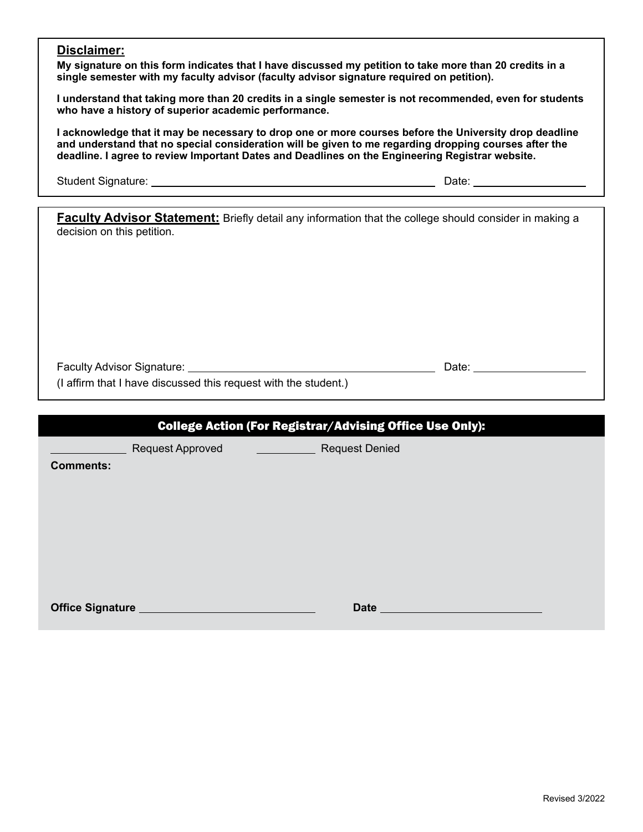## **Disclaimer:**

**My signature on this form indicates that I have discussed my petition to take more than 20 credits in a single semester with my faculty advisor (faculty advisor signature required on petition).**

**I understand that taking more than 20 credits in a single semester is not recommended, even for students who have a history of superior academic performance.**

**I acknowledge that it may be necessary to drop one or more courses before the University drop deadline and understand that no special consideration will be given to me regarding dropping courses after the deadline. I agree to review Important Dates and Deadlines on the Engineering Registrar website.**

Student Signature: Date:

**Faculty Advisor Statement:** Briefly detail any information that the college should consider in making a decision on this petition.

Faculty Advisor Signature: Date:

(I affirm that I have discussed this request with the student.)

Request Approved Request Denied

**Comments:**

**Office Signature** <br> **Date Date**